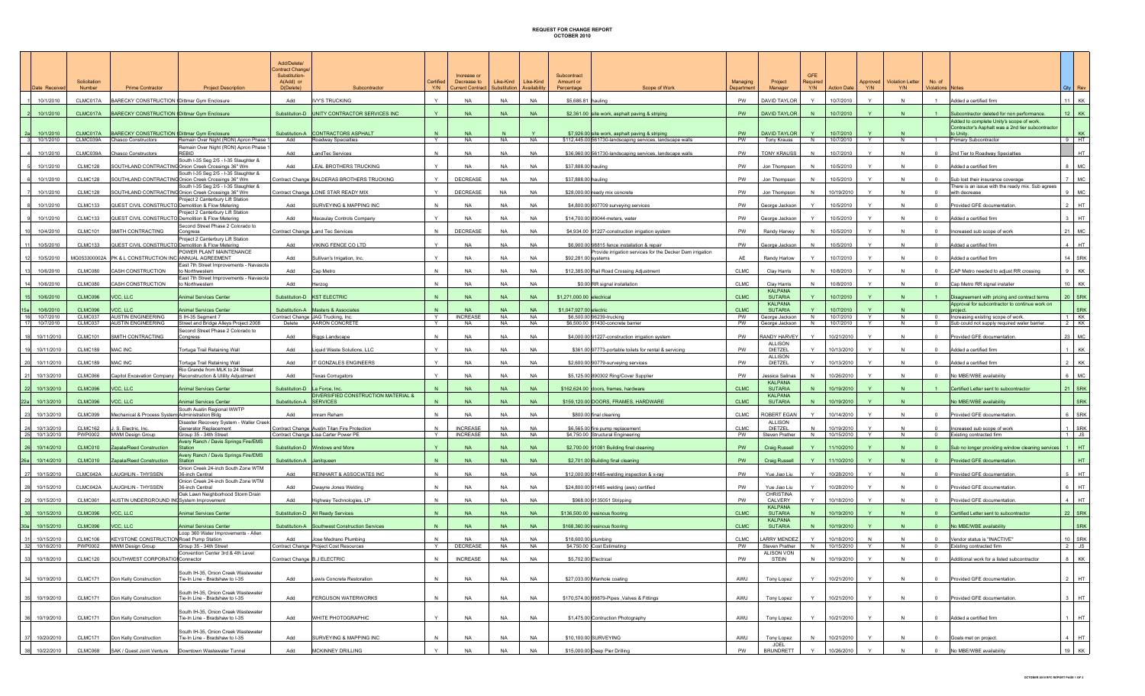## REQUEST FOR CHANGE REPORT OCTOBER 2010

| 10/1/2010<br>CLMC017A<br>10/1/2010<br>CLMC017A           | BARECKY CONSTRUCTION (Dittmar Gym Enclosure<br><b>BARECKY CONSTRUCTION (Dittmar Gym Enclosure</b> | Add                                                                                               |                                                                                       | <b>Y/N</b>        | Decrease to<br><b>Current Contract</b> | Like-Kind<br>Substitution | Like-Kind<br>Availability | Amount or<br>Scope of Work<br>Percentage                                         | Departmer           | Project<br>Manager                          | Required<br>Y/N | <b>Action Date</b>       | Approved<br>Y/N | <b>Violation Letter</b><br><b>Y/N</b> | No. of<br><b>Violations Notes</b>  |                                                                                                            | $Qty \mid Rev$       |
|----------------------------------------------------------|---------------------------------------------------------------------------------------------------|---------------------------------------------------------------------------------------------------|---------------------------------------------------------------------------------------|-------------------|----------------------------------------|---------------------------|---------------------------|----------------------------------------------------------------------------------|---------------------|---------------------------------------------|-----------------|--------------------------|-----------------|---------------------------------------|------------------------------------|------------------------------------------------------------------------------------------------------------|----------------------|
|                                                          |                                                                                                   |                                                                                                   | <b>IVY'S TRUCKING</b>                                                                 | $\mathsf{Y}$      | <b>NA</b>                              | <b>NA</b>                 | <b>NA</b>                 | \$5,686.81 hauling                                                               | <b>PW</b>           | DAVID TAYLOR                                | Y               | 10/7/2010                | Y               | N                                     |                                    | Added a certified firm                                                                                     | 11   KK              |
|                                                          |                                                                                                   |                                                                                                   | Substitution-D UNITY CONTRACTOR SERVICES INC                                          |                   | <b>NA</b>                              | <b>NA</b>                 | <b>NA</b>                 | \$2,361.00 site work, asphalt paving & striping                                  | PW                  | <b>DAVID TAYLOR</b>                         |                 | 10/7/2010                | Y               |                                       |                                    | Subcontractor deleted for non performance.                                                                 | $12$ KK              |
| 10/1/2010<br>CLMC017A                                    |                                                                                                   | BARECKY CONSTRUCTION (Dittmar Gym Enclosure                                                       | Substitution-A CONTRACTORS ASPHALT                                                    |                   | <b>NA</b>                              |                           |                           | \$7,926.00 site work, asphalt paving & striping                                  | PW                  | <b>DAVID TAYLOR</b>                         |                 | 10/7/2010                |                 |                                       |                                    | Added to complete Unity's scope of work.<br>Contractor's Asphalt was a 2nd tier subcontractor<br>to Unity. | KK                   |
| 10/1/2010                                                | CLMC039A Chasco Constructors                                                                      | Remain Over Night (RON) Apron Phase 1<br>Add<br>Remain Over Night (RON) Apron Phase 1             | Roadway Specialties                                                                   | Y                 | <b>NA</b>                              | <b>NA</b>                 | <b>NA</b>                 | \$112,445.00 561730-landscaping services, landscape walls                        | PW                  | Tony Krauss                                 | N               | 10/7/2010                | Y               | N                                     | $\overline{1}$                     | Primary Subcontractor                                                                                      | $9$ HT               |
| 10/1/2010<br>CLMC039A                                    | <b>Chasco Constructors</b>                                                                        | REBID<br>Add<br>South I-35 Seg 2/5 - I-35 Slaughter &                                             | and Tec Services                                                                      |                   | <b>NA</b>                              | <b>NA</b>                 | <b>NA</b>                 | \$36,960.00 561730-landscaping services, landscape walls                         | PW                  | <b>TONY KRAUSS</b>                          |                 | 10/7/2010                |                 |                                       |                                    | 2nd Tier to Roadway Specialties                                                                            | HT                   |
| CLMC128<br>10/1/2010                                     |                                                                                                   | SOUTHLAND CONTRACTINGOnion Creek Crossings 36" Wm<br>Add<br>South I-35 Seg 2/5 - I-35 Slaughter & | <b>EAL BROTHERS TRUCKING</b>                                                          | $\vee$            | <b>NA</b>                              | <b>NA</b>                 | <b>NA</b>                 | \$37,888.00 hauling                                                              | PW                  | Jon Thompson                                |                 | 10/5/2010                | $\mathsf{Y}$    | N                                     | $\overline{0}$                     | Added a certified firm                                                                                     | 8 MC                 |
| 10/1/2010<br>CLMC128                                     |                                                                                                   | SOUTHLAND CONTRACTINGOnion Creek Crossings 36" Wm<br>South I-35 Seg 2/5 - I-35 Slaughter &        | Contract Change BALDERAS BROTHERS TRUCKING                                            |                   | DECREASE                               | <b>NA</b>                 | <b>NA</b>                 | \$37,888.00 hauling                                                              | PW                  | Jon Thompson                                |                 | 10/5/2010                | Y               | N                                     |                                    | Sub lost their insurance coverage<br>There is an issue with the ready mix. Sub agrees                      | 7 MC                 |
| 10/1/2010<br>CLMC128                                     |                                                                                                   | SOUTHLAND CONTRACTING Onion Creek Crossings 36" Wm<br>Project 2 Canterbury Lift Station           | Contract Change LONE STAR READY MIX                                                   |                   | DECREASE                               | <b>NA</b>                 | <b>NA</b>                 | \$28,000.00 ready mix concrete                                                   | PW                  | Jon Thompson                                |                 | 10/19/2010               | $\mathsf{v}$    | N                                     |                                    | with decrease                                                                                              | MC                   |
| CLMC133<br>10/1/2010                                     |                                                                                                   | QUEST CIVIL CONSTRUCTO Demolition & Flow Metering<br>Add<br>roject 2 Canterbury Lift Station      | SURVEYING & MAPPING INC                                                               |                   | <b>NA</b>                              | <b>NA</b>                 | <b>NA</b>                 | \$4,800.00 907709 surveying services                                             | PW                  | George Jackson                              |                 | 10/5/2010                | $\mathsf{v}$    | N                                     |                                    | Provided GFE documentation                                                                                 | HT                   |
| 10/1/2010<br><b>CLMC133</b>                              |                                                                                                   | QUEST CIVIL CONSTRUCTO Demolition & Flow Metering<br>Add<br>Second Street Phase 2 Colorado to     | Macaulay Controls Company                                                             |                   | <b>NA</b>                              | <b>NA</b>                 | <b>NA</b>                 | \$14,700.00 89044-meters, water                                                  | PW                  | George Jackson                              |                 | 10/5/2010                | Y               | N                                     |                                    | Added a certified firm                                                                                     | HT                   |
| 10/4/2010<br><b>CLMC101</b>                              | SMITH CONTRACTING                                                                                 | Congress<br>Project 2 Canterbury Lift Station                                                     | Contract Change Land Tec Services                                                     | N                 | <b>DECREASE</b>                        | <b>NA</b>                 | <b>NA</b>                 | \$4,934.00 91227-construction irrigation system                                  | PW                  | Randy Harvey                                |                 | 10/5/2010                | $\checkmark$    | N                                     |                                    | Increased sub scope of work                                                                                | 21 MC                |
| 10/5/2010<br><b>CLMC133</b>                              |                                                                                                   | QUEST CIVIL CONSTRUCTO Demolition & Flow Metering<br>Add                                          | 'IKING FENCE CO LTE                                                                   |                   | <b>NA</b>                              | <b>NA</b>                 | <b>NA</b>                 | \$6,900.00 98815 fence installation & repair                                     | PW                  | <u>George Jacksor</u>                       |                 | 10/5/2010                | $\checkmark$    |                                       |                                    | Added a certified firm                                                                                     | HT                   |
| 10/5/2010<br>MG053300002A                                | PK & L CONSTRUCTION INC ANNUAL AGREEMENT                                                          | POWER PLANT MAINTENANCE<br>Add                                                                    | Sullivan's Irrigation, Inc                                                            |                   | <b>NA</b>                              | <b>NA</b>                 | <b>NA</b>                 | Provide irrigation services for the Decker Dam irrigation<br>\$92,281.00 systems |                     | Randy Harlow                                |                 | 10/7/2010                | $\mathsf{v}$    |                                       |                                    | <u>Added a certified firm</u>                                                                              | 14 SRK               |
| 10/6/2010<br>CLMC080                                     | CASH CONSTRUCTION                                                                                 | East 7th Street Improvements - Navasota<br>to Northwestern<br>Add                                 | Cap Metro                                                                             | N                 | <b>NA</b>                              | <b>NA</b>                 | <b>NA</b>                 | \$12,385.00 Rail Road Crossing Adjustment                                        | <b>CLMC</b>         | Clay Harris                                 |                 | 10/8/2010                | Y               |                                       |                                    | CAP Metro needed to adjust RR crossing                                                                     | 9 KK                 |
| 10/6/2010<br>CLMC080                                     | CASH CONSTRUCTION                                                                                 | East 7th Street Improvements - Navasota<br>to Northwestern<br>Add                                 | Herzog                                                                                | N                 | <b>NA</b>                              | <b>NA</b>                 | <b>NA</b>                 | \$0.00 RR signal installation                                                    | CLMC                | Clay Harris                                 | N               | 10/8/2010                | $\mathbf{Y}$    | N                                     | $^{\circ}$                         | Cap Metro RR signal installer                                                                              | 10 KK                |
| 10/6/2010<br>CLMC096                                     | VCC, LLC                                                                                          | unimal Services Center                                                                            | Substitution-D KST ELECTRIC                                                           |                   | <b>NA</b>                              | <b>NA</b>                 | <b>NA</b>                 | \$1,271,000.00 electrical                                                        | <b>CLMC</b>         | KALPANA<br><b>SUTARIA</b>                   |                 | 10/7/2010                |                 |                                       |                                    | Disagreement with pricing and contract terms                                                               | 20 SRK               |
| 10/6/2010<br>CLMC096                                     | VCC, LLC                                                                                          | unimal Services Center                                                                            | Substitution-A   Masters & Associates                                                 |                   | <b>NA</b>                              | <b>NA</b>                 | <b>NA</b>                 | \$1,047,927.00 electric                                                          | <b>CLMC</b>         | KALPANA<br><b>SUTARIA</b>                   |                 | 10/7/2010                |                 |                                       |                                    | Approval for subcontractor to continue work on                                                             | <b>SRK</b>           |
| 16<br>10/7/2010<br>CLMC037<br>17<br>10/7/2010<br>CLMC037 | AUSTIN ENGINEERING<br><b>AUSTIN ENGINEERING</b>                                                   | S IH-35 Segment 7<br>Street and Bridge Alleys Project 2008<br>Delete                              | Contract Change JAG Trucking, Inc.<br>AARON CONCRETE                                  | Y<br>$\mathbf{Y}$ | <b>INCREASE</b><br>NA                  | <b>NA</b><br>NA           | <b>NA</b><br><b>NA</b>    | \$6,500.00 96239-trucking<br>\$6,500.00 91430-concrete barrier                   | PW<br>PW            | George Jackson<br>George Jackson            | N<br>N          | 10/7/2010<br>10/7/2010   | Y<br>Y          | N<br>N                                | $\circ$<br>$\overline{\mathbf{0}}$ | Increasing existing scope of work.<br>Sub could not supply required water barrier.                         | 1 KK<br>$2$ KK       |
| 10/11/2010<br><b>CLMC101</b>                             | SMITH CONTRACTING                                                                                 | econd Street Phase 2 Colorado to<br>Add<br>Congress                                               | Biggs Landscape                                                                       |                   | <b>NA</b>                              | <b>NA</b>                 | <b>NA</b>                 | \$4,000.00 91227-construction irrigation system                                  | PW                  | RANDY HARVEY                                |                 | 10/21/2010               | $\vee$          |                                       |                                    | Provided GFE documentation                                                                                 | 23 MC                |
| 10/11/2010<br>CLMC189                                    | MAC INC                                                                                           | ortuga Trail Retaining Wall<br>Add                                                                | iquid Waste Solutions, LLC                                                            |                   | <b>NA</b>                              | <b>NA</b>                 | <b>NA</b>                 | \$361.00 97773-portable toilets for rental & servicin                            | PW                  | <b>ALLISON</b><br>DIETZEL                   |                 | 10/13/2010               |                 |                                       |                                    | Added a certified firm                                                                                     | KK                   |
| 20 10/11/2010<br>CLMC189                                 | MAC INC                                                                                           | <b>Fortuga Trail Retaining Wall</b><br>Add                                                        | <b>T GONZALES ENGINEERS</b>                                                           | $\mathbf{v}$      | <b>NA</b>                              | <b>NA</b>                 | <b>NA</b>                 | \$2,600.00 90779-surveying services                                              | PW                  | <b>ALLISON</b><br>DIETZEL                   | Y               | 10/13/2010               | $\mathbf{Y}$    | N                                     | $\Omega$                           | Added a certified firm                                                                                     | $2$ KK               |
| CLMC066<br>10/13/2010                                    | apitol Excavation Company                                                                         | Rio Grande from MLK to 24 Street<br>Add<br>Reconstruction & Utility Adjustment                    | <b>Texas Corrugators</b>                                                              | $\checkmark$      | <b>NA</b>                              | <b>NA</b>                 | <b>NA</b>                 | \$5,125.00 890302 Ring/Cover Supplier                                            | PW                  | <u>Jessica Salinas</u>                      |                 | 10/26/2010               |                 |                                       |                                    | No MBE/WBE availability                                                                                    | 6 MC                 |
| 22 10/13/2010<br>CLMC096                                 | VCC, LLC                                                                                          | Animal Services Center                                                                            | Substitution-D La Force, Inc.                                                         |                   | <b>NA</b>                              | <b>NA</b>                 | <b>NA</b>                 | \$162,624.00 doors, frames, hardware                                             | <b>CLMC</b>         | KALPANA<br><b>SUTARIA</b>                   |                 | 10/19/2010               |                 |                                       |                                    | Certified Letter sent to subcontractor                                                                     | 21 SRK               |
| 22a 10/13/2010<br>CLMC096                                | VCC, LLC                                                                                          | Substitution-A<br>Animal Services Center                                                          | DIVERSIFIED CONSTRUCTION MATERIAL &<br><b>SERVICES</b>                                |                   | <b>NA</b>                              | <b>NA</b>                 | <b>NA</b>                 | \$159,120.00 DOORS, FRAMES, HARDWAR                                              | <b>CLMC</b>         | KALPANA<br><b>SUTARIA</b>                   |                 | 10/19/2010               |                 |                                       |                                    | No MBE/WBE availability                                                                                    | <b>SRK</b>           |
| 10/13/2010<br>23<br>CLMC099                              | Mechanical & Process System Administration Bldg                                                   | South Austin Regional WWTP<br>Add                                                                 | Imram Reham                                                                           | N                 | <b>NA</b>                              | <b>NA</b>                 | <b>NA</b>                 | \$800.00 final cleaning                                                          | <b>CLMC</b>         | ROBERT EGAN<br><b>ALLISON</b>               |                 | 10/14/2010               | $\mathsf{v}$    | N                                     | $\Omega$                           | Provided GFE documentation                                                                                 | 6 SRK                |
| 10/13/2010<br>CLMC162<br>25 10/13/2010<br>PWP0002        | S. Electric, Inc.<br>MWM Design Group                                                             | Disaster Recovery System - Waller Creel<br>Generator Replacement<br>Group 35 - 34th Street        | Contract Change Austin Titan Fire Protection<br>Contract Change Lisa Carter Power PE  | Y                 | <b>INCREASE</b><br><b>INCREASE</b>     | <b>NA</b>                 | <b>NA</b>                 | \$6,565.00 fire pump replacement<br>\$4,750.00 Structural Engineering            | <b>CLMC</b><br>PW   | DIETZEL<br>Steven Prather                   | N               | 10/19/2010<br>10/15/2010 | Y               | N                                     |                                    | Increased sub scope of work<br>0 Existing contracted firm                                                  | SRK<br>$1$ JS        |
| 10/14/2010<br>CLMC010                                    | Zapala/Reed Construction                                                                          | Avery Ranch / Davis Springs Fire/EMS                                                              | Substitution-D Windows and More                                                       |                   | <b>NA</b>                              | <b>NA</b>                 | <b>NA</b>                 | \$2,700.00 91081 Building final cleaning                                         | PW                  | <b>Craig Russell</b>                        |                 | 11/10/2010               |                 |                                       |                                    | Sub no longer providing window cleaning services 1 HT                                                      |                      |
| 10/14/2010<br>CLMC010                                    | Zapala/Reed Constructio                                                                           | Avery Ranch / Davis Springs Fire/EMS<br>Substitution-A                                            | lanitqueer                                                                            |                   | <b>NA</b>                              | <b>NA</b>                 | <b>NA</b>                 | \$2,701.00 Building final cleaning                                               | PW                  | <b>Craig Russell</b>                        |                 | 11/10/2010               |                 |                                       |                                    |                                                                                                            | HT.                  |
| 10/15/2010<br>CLMC042A                                   | LAUGHLIN - THYSSEN                                                                                | Onion Creek 24-inch South Zone WTM<br>36-inch Central<br>Add                                      | REINHART & ASSOCIATES INC                                                             | N                 | <b>NA</b>                              | <b>NA</b>                 | <b>NA</b>                 | \$12,000.00 91485-welding inspection & x-ray                                     | PW                  | Yue Jiao Liu                                | Y               | 10/28/2010               | Y               | N                                     | $^{\circ}$                         | Provided GFE documentation<br>Provided GFE documentation                                                   | HT.                  |
| 10/15/2010<br>CLMC042A                                   | <b>AUGHLIN - THYSSEN</b>                                                                          | Onion Creek 24-inch South Zone WTM<br>Add<br>36-inch Central                                      |                                                                                       | N                 | <b>NA</b>                              | <b>NA</b>                 | <b>NA</b>                 |                                                                                  | PW                  | Yue Jiao Liu                                |                 | 10/28/2010               | $\mathsf{v}$    | N                                     | $\Omega$                           | Provided GFE documentation                                                                                 | $6$ HT               |
| 10/15/2010<br>CLMC061                                    | <b>JUSTIN UNDERGROUND INCSystem Improvement</b>                                                   | Oak Lawn Neighborhood Storm Drain                                                                 | Dwayne Jones Welding                                                                  | N                 | <b>NA</b>                              | <b>NA</b>                 | <b>NA</b>                 | \$24,800.00 91485 welding (aws) certified                                        | PW                  | <b>CHRISTINA</b><br>CALVERY                 |                 | 10/18/2010               | $\mathsf{v}$    | N                                     |                                    |                                                                                                            | $4$ HT               |
|                                                          |                                                                                                   | Add                                                                                               | Highway Technologies, LP                                                              |                   |                                        |                           |                           | \$968.00 9135051 Stripping                                                       |                     | KALPANA                                     |                 |                          |                 |                                       |                                    | Provided GFE documentation                                                                                 |                      |
| 10/15/2010<br>CLMC096                                    | VCC, LLC                                                                                          | unimal Services Center                                                                            | Substitution-D   All Ready Services<br>Substitution-A Southwest Construction Services | N                 | <b>NA</b><br><b>NA</b>                 | <b>NA</b><br><b>NA</b>    | <b>NA</b><br><b>NA</b>    | \$136,500.00 resinous flooring<br>\$168,360.00 resinous flooring                 | <b>CLMC</b><br>CLMC | <b>SUTARIA</b><br>KALPANA<br><b>SUTARIA</b> |                 | 10/19/2010               | Y               | N                                     |                                    | Certified Letter sent to subcontractor                                                                     | 22 SRK               |
| 10/15/2010<br>CLMC096<br><b>CLMC106</b><br>10/15/2010    | VCC, LLC<br><b>KEYSTONE CONSTRUCTION Road Pump Station</b>                                        | Animal Services Center<br>Loop 360 Water Improvements - Allen<br>Add                              | Jose Medrano Plumbing                                                                 |                   | <b>NA</b>                              |                           |                           | \$18,600.00 plumbing                                                             | <b>CLMC</b>         | <b>ARRY MENDEZ</b>                          |                 | 10/19/2010<br>10/18/2010 |                 |                                       |                                    | No MBE/WBE availabilit<br>Vendor status is "INACTIVE"                                                      | <b>SRK</b><br>10 SRK |
| 32 10/16/2010<br>PWP0002                                 | MWM Design Group                                                                                  | Group 35 - 34th Street                                                                            | Contract Change Project Cost Resources                                                |                   | DECREASE                               | NA                        | NA                        | \$4,750.00 Cost Estimating                                                       | PW                  | Steven Prather                              | N               | 10/15/2010               | Y               | N                                     |                                    | 0 Existing contracted firm                                                                                 | $2$ JS               |
| 33<br>10/18/2010<br>CLMC120                              | SOUTHWEST CORPORATION Connector                                                                   | Convention Center 3rd & 4th Level                                                                 | Contract Change B J ELECTRI                                                           | N                 | <b>INCREASE</b>                        | <b>NA</b>                 | <b>NA</b>                 | \$5,702.00 Electrical                                                            | PW                  | ALISON VON<br><b>STEIN</b>                  |                 | 10/19/2010               | $\checkmark$    | N                                     | $\overline{0}$                     | Additional work for a listed subcontractor                                                                 | <b>KK</b>            |
| 34 10/19/2010<br>CLMC171                                 | Don Kelly Construction                                                                            | South IH-35, Onion Creek Wastewater<br>Tie-In Line - Bradshaw to I-35<br>Add                      | Lewis Concrete Restoration                                                            | N                 | <b>NA</b>                              | <b>NA</b>                 | <b>NA</b>                 | \$27,033.00 Manhole coating                                                      | AWU                 | Tony Lopez                                  | Y               | 10/21/2010               | Y               | N                                     | $\Omega$                           | Provided GFE documentation.                                                                                | $2$ HT               |
| 35 10/19/2010<br>CLMC171                                 | Don Kelly Construction                                                                            | South IH-35, Onion Creek Wastewater<br>Tie-In Line - Bradshaw to I-35<br>Add                      | FERGUSON WATERWORKS                                                                   | N                 | <b>NA</b>                              | <b>NA</b>                 | <b>NA</b>                 | \$170,574.00 99879-Pipes , Valves & Fittings                                     | AWU                 | Tony Lopez                                  | Y               | 10/21/2010               | Y               | N                                     | $\Omega$                           | Provided GFE documentation.                                                                                | HT                   |
| 10/19/2010<br><b>CLMC171</b><br>36                       | Don Kelly Construction                                                                            | South IH-35, Onion Creek Wastewater<br>Tie-In Line - Bradshaw to I-35<br>Add                      | WHITE PHOTOGRAPHIC                                                                    |                   | <b>NA</b>                              | <b>NA</b>                 | <b>NA</b>                 | \$1,475.00 Contruction Photography                                               | AWU                 | Tony Lopez                                  | Y               | 10/21/2010               | Y               | N                                     | $\Omega$                           | Added a certified firm                                                                                     | HT                   |
| 10/20/2010<br>CLMC171                                    | Don Kelly Construction                                                                            | South IH-35, Onion Creek Wastewater<br>Tie-In Line - Bradshaw to I-35<br>Add                      | URVEYING & MAPPING INC                                                                | N                 | <b>NA</b>                              | <b>NA</b>                 | <b>NA</b>                 | \$10,100.00 SURVEYING                                                            | AWU                 | Tony Lopez                                  | N               | 10/21/2010               | $\mathsf{v}$    | N                                     |                                    | Goals met on project.                                                                                      | HT.                  |
| 10/22/2010<br>CLMC068                                    | SAK / Quest Joint Venture                                                                         | Downtown Wastewater Tunnel<br>Add                                                                 | MCKINNEY DRILLING                                                                     | $\vee$            | <b>NA</b>                              | <b>NA</b>                 | <b>NA</b>                 | \$15,000.00 Deep Pier Drilling                                                   | PW                  | <b>JOEL</b><br><b>BRUNDRETT</b>             |                 | 10/26/2010               | $\checkmark$    | N                                     | $\mathbf{0}$                       | No MBE/WBE availability                                                                                    | 19 KK                |